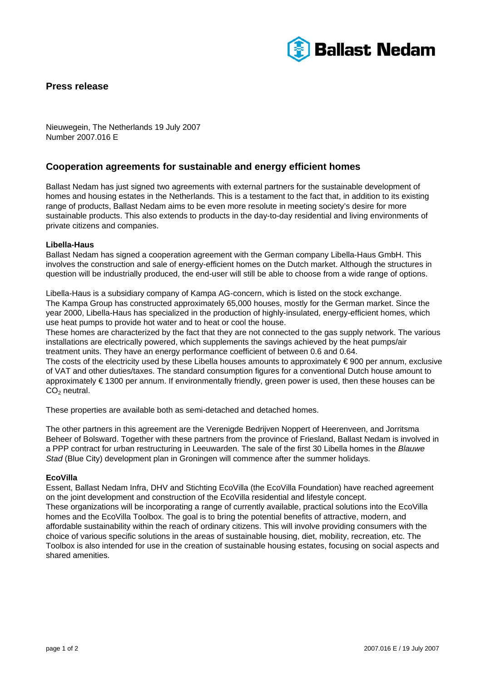

## **Press release**

Nieuwegein, The Netherlands 19 July 2007 Number 2007.016 E

## **Cooperation agreements for sustainable and energy efficient homes**

Ballast Nedam has just signed two agreements with external partners for the sustainable development of homes and housing estates in the Netherlands. This is a testament to the fact that, in addition to its existing range of products, Ballast Nedam aims to be even more resolute in meeting society's desire for more sustainable products. This also extends to products in the day-to-day residential and living environments of private citizens and companies.

### **Libella-Haus**

Ballast Nedam has signed a cooperation agreement with the German company Libella-Haus GmbH. This involves the construction and sale of energy-efficient homes on the Dutch market. Although the structures in question will be industrially produced, the end-user will still be able to choose from a wide range of options.

Libella-Haus is a subsidiary company of Kampa AG-concern, which is listed on the stock exchange. The Kampa Group has constructed approximately 65,000 houses, mostly for the German market. Since the year 2000, Libella-Haus has specialized in the production of highly-insulated, energy-efficient homes, which use heat pumps to provide hot water and to heat or cool the house.

These homes are characterized by the fact that they are not connected to the gas supply network. The various installations are electrically powered, which supplements the savings achieved by the heat pumps/air treatment units. They have an energy performance coefficient of between 0.6 and 0.64.

The costs of the electricity used by these Libella houses amounts to approximately € 900 per annum, exclusive of VAT and other duties/taxes. The standard consumption figures for a conventional Dutch house amount to approximately € 1300 per annum. If environmentally friendly, green power is used, then these houses can be  $CO<sub>2</sub>$  neutral.

These properties are available both as semi-detached and detached homes.

The other partners in this agreement are the Verenigde Bedrijven Noppert of Heerenveen, and Jorritsma Beheer of Bolsward. Together with these partners from the province of Friesland, Ballast Nedam is involved in a PPP contract for urban restructuring in Leeuwarden. The sale of the first 30 Libella homes in the *Blauwe Stad* (Blue City) development plan in Groningen will commence after the summer holidays.

### **EcoVilla**

Essent, Ballast Nedam Infra, DHV and Stichting EcoVilla (the EcoVilla Foundation) have reached agreement on the joint development and construction of the EcoVilla residential and lifestyle concept. These organizations will be incorporating a range of currently available, practical solutions into the EcoVilla homes and the EcoVilla Toolbox. The goal is to bring the potential benefits of attractive, modern, and affordable sustainability within the reach of ordinary citizens. This will involve providing consumers with the choice of various specific solutions in the areas of sustainable housing, diet, mobility, recreation, etc. The Toolbox is also intended for use in the creation of sustainable housing estates, focusing on social aspects and shared amenities.